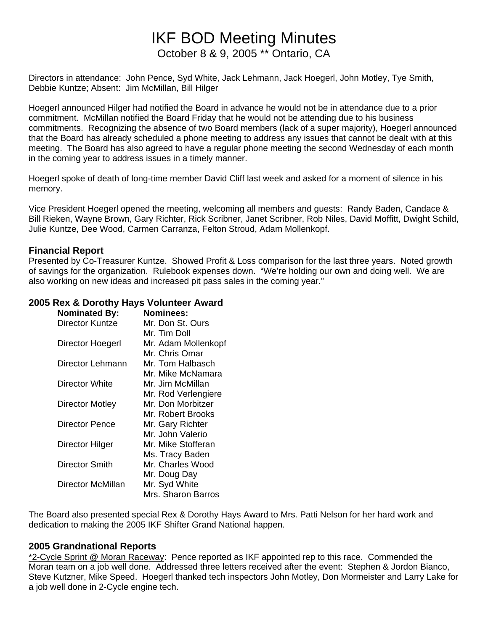# IKF BOD Meeting Minutes October 8 & 9, 2005 \*\* Ontario, CA

Directors in attendance: John Pence, Syd White, Jack Lehmann, Jack Hoegerl, John Motley, Tye Smith, Debbie Kuntze; Absent: Jim McMillan, Bill Hilger

Hoegerl announced Hilger had notified the Board in advance he would not be in attendance due to a prior commitment. McMillan notified the Board Friday that he would not be attending due to his business commitments. Recognizing the absence of two Board members (lack of a super majority), Hoegerl announced that the Board has already scheduled a phone meeting to address any issues that cannot be dealt with at this meeting. The Board has also agreed to have a regular phone meeting the second Wednesday of each month in the coming year to address issues in a timely manner.

Hoegerl spoke of death of long-time member David Cliff last week and asked for a moment of silence in his memory.

Vice President Hoegerl opened the meeting, welcoming all members and guests: Randy Baden, Candace & Bill Rieken, Wayne Brown, Gary Richter, Rick Scribner, Janet Scribner, Rob Niles, David Moffitt, Dwight Schild, Julie Kuntze, Dee Wood, Carmen Carranza, Felton Stroud, Adam Mollenkopf.

### **Financial Report**

Presented by Co-Treasurer Kuntze. Showed Profit & Loss comparison for the last three years. Noted growth of savings for the organization. Rulebook expenses down. "We're holding our own and doing well. We are also working on new ideas and increased pit pass sales in the coming year."

# **2005 Rex & Dorothy Hays Volunteer Award**

| <b>Nominated By:</b> | <b>Nominees:</b>    |
|----------------------|---------------------|
| Director Kuntze      | Mr. Don St. Ours    |
|                      | Mr. Tim Doll        |
| Director Hoegerl     | Mr. Adam Mollenkopf |
|                      | Mr. Chris Omar      |
| Director Lehmann     | Mr. Tom Halbasch    |
|                      | Mr. Mike McNamara   |
| Director White       | Mr. Jim McMillan    |
|                      | Mr. Rod Verlengiere |
| Director Motley      | Mr. Don Morbitzer   |
|                      | Mr. Robert Brooks   |
| Director Pence       | Mr. Gary Richter    |
|                      | Mr. John Valerio    |
| Director Hilger      | Mr. Mike Stofferan  |
|                      | Ms. Tracy Baden     |
| Director Smith       | Mr. Charles Wood    |
|                      | Mr. Doug Day        |
| Director McMillan    | Mr. Syd White       |
|                      | Mrs. Sharon Barros  |

The Board also presented special Rex & Dorothy Hays Award to Mrs. Patti Nelson for her hard work and dedication to making the 2005 IKF Shifter Grand National happen.

### **2005 Grandnational Reports**

\*2-Cycle Sprint @ Moran Raceway: Pence reported as IKF appointed rep to this race. Commended the Moran team on a job well done. Addressed three letters received after the event: Stephen & Jordon Bianco, Steve Kutzner, Mike Speed. Hoegerl thanked tech inspectors John Motley, Don Mormeister and Larry Lake for a job well done in 2-Cycle engine tech.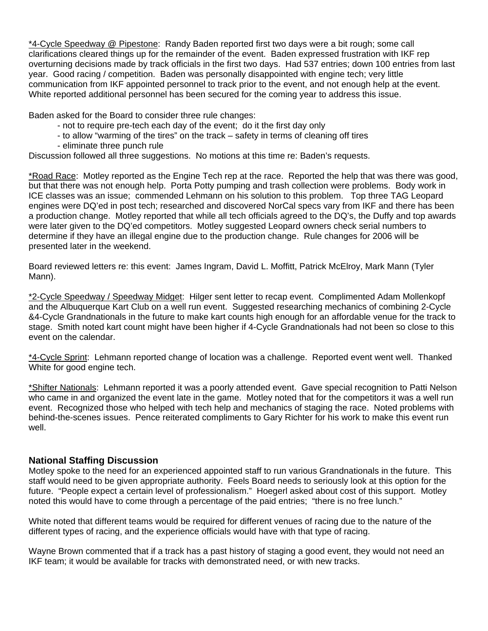\*4-Cycle Speedway @ Pipestone: Randy Baden reported first two days were a bit rough; some call clarifications cleared things up for the remainder of the event. Baden expressed frustration with IKF rep overturning decisions made by track officials in the first two days. Had 537 entries; down 100 entries from last year. Good racing / competition. Baden was personally disappointed with engine tech; very little communication from IKF appointed personnel to track prior to the event, and not enough help at the event. White reported additional personnel has been secured for the coming year to address this issue.

Baden asked for the Board to consider three rule changes:

- not to require pre-tech each day of the event; do it the first day only
- to allow "warming of the tires" on the track safety in terms of cleaning off tires
- eliminate three punch rule

Discussion followed all three suggestions. No motions at this time re: Baden's requests.

\*Road Race: Motley reported as the Engine Tech rep at the race. Reported the help that was there was good, but that there was not enough help. Porta Potty pumping and trash collection were problems. Body work in ICE classes was an issue; commended Lehmann on his solution to this problem. Top three TAG Leopard engines were DQ'ed in post tech; researched and discovered NorCal specs vary from IKF and there has been a production change. Motley reported that while all tech officials agreed to the DQ's, the Duffy and top awards were later given to the DQ'ed competitors. Motley suggested Leopard owners check serial numbers to determine if they have an illegal engine due to the production change. Rule changes for 2006 will be presented later in the weekend.

Board reviewed letters re: this event: James Ingram, David L. Moffitt, Patrick McElroy, Mark Mann (Tyler Mann).

\*2-Cycle Speedway / Speedway Midget: Hilger sent letter to recap event. Complimented Adam Mollenkopf and the Albuquerque Kart Club on a well run event. Suggested researching mechanics of combining 2-Cycle &4-Cycle Grandnationals in the future to make kart counts high enough for an affordable venue for the track to stage. Smith noted kart count might have been higher if 4-Cycle Grandnationals had not been so close to this event on the calendar.

\*4-Cycle Sprint: Lehmann reported change of location was a challenge. Reported event went well. Thanked White for good engine tech.

\*Shifter Nationals: Lehmann reported it was a poorly attended event. Gave special recognition to Patti Nelson who came in and organized the event late in the game. Motley noted that for the competitors it was a well run event. Recognized those who helped with tech help and mechanics of staging the race. Noted problems with behind-the-scenes issues. Pence reiterated compliments to Gary Richter for his work to make this event run well.

### **National Staffing Discussion**

Motley spoke to the need for an experienced appointed staff to run various Grandnationals in the future. This staff would need to be given appropriate authority. Feels Board needs to seriously look at this option for the future. "People expect a certain level of professionalism." Hoegerl asked about cost of this support. Motley noted this would have to come through a percentage of the paid entries; "there is no free lunch."

White noted that different teams would be required for different venues of racing due to the nature of the different types of racing, and the experience officials would have with that type of racing.

Wayne Brown commented that if a track has a past history of staging a good event, they would not need an IKF team; it would be available for tracks with demonstrated need, or with new tracks.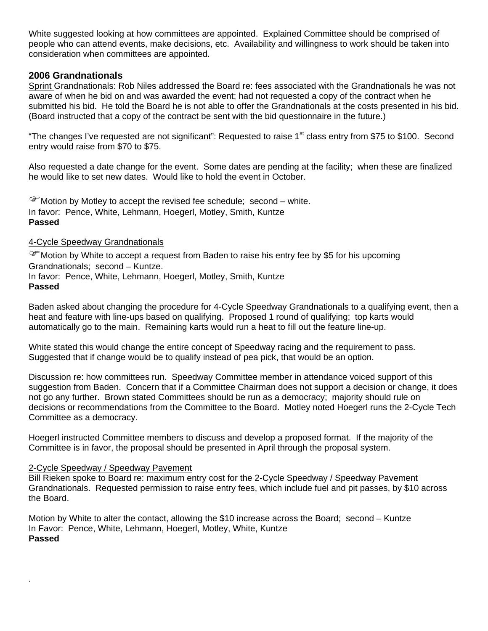White suggested looking at how committees are appointed. Explained Committee should be comprised of people who can attend events, make decisions, etc. Availability and willingness to work should be taken into consideration when committees are appointed.

### **2006 Grandnationals**

Sprint Grandnationals: Rob Niles addressed the Board re: fees associated with the Grandnationals he was not aware of when he bid on and was awarded the event; had not requested a copy of the contract when he submitted his bid. He told the Board he is not able to offer the Grandnationals at the costs presented in his bid. (Board instructed that a copy of the contract be sent with the bid questionnaire in the future.)

"The changes I've requested are not significant": Requested to raise 1<sup>st</sup> class entry from \$75 to \$100. Second entry would raise from \$70 to \$75.

Also requested a date change for the event. Some dates are pending at the facility; when these are finalized he would like to set new dates. Would like to hold the event in October.

 $\mathcal{F}$  Motion by Motley to accept the revised fee schedule; second – white. In favor: Pence, White, Lehmann, Hoegerl, Motley, Smith, Kuntze **Passed** 

#### 4-Cycle Speedway Grandnationals

 $\mathscr F$  Motion by White to accept a request from Baden to raise his entry fee by \$5 for his upcoming Grandnationals; second – Kuntze. In favor: Pence, White, Lehmann, Hoegerl, Motley, Smith, Kuntze **Passed** 

Baden asked about changing the procedure for 4-Cycle Speedway Grandnationals to a qualifying event, then a heat and feature with line-ups based on qualifying. Proposed 1 round of qualifying; top karts would automatically go to the main. Remaining karts would run a heat to fill out the feature line-up.

White stated this would change the entire concept of Speedway racing and the requirement to pass. Suggested that if change would be to qualify instead of pea pick, that would be an option.

Discussion re: how committees run. Speedway Committee member in attendance voiced support of this suggestion from Baden. Concern that if a Committee Chairman does not support a decision or change, it does not go any further. Brown stated Committees should be run as a democracy; majority should rule on decisions or recommendations from the Committee to the Board. Motley noted Hoegerl runs the 2-Cycle Tech Committee as a democracy.

Hoegerl instructed Committee members to discuss and develop a proposed format. If the majority of the Committee is in favor, the proposal should be presented in April through the proposal system.

### 2-Cycle Speedway / Speedway Pavement

.

Bill Rieken spoke to Board re: maximum entry cost for the 2-Cycle Speedway / Speedway Pavement Grandnationals. Requested permission to raise entry fees, which include fuel and pit passes, by \$10 across the Board.

Motion by White to alter the contact, allowing the \$10 increase across the Board; second – Kuntze In Favor: Pence, White, Lehmann, Hoegerl, Motley, White, Kuntze **Passed**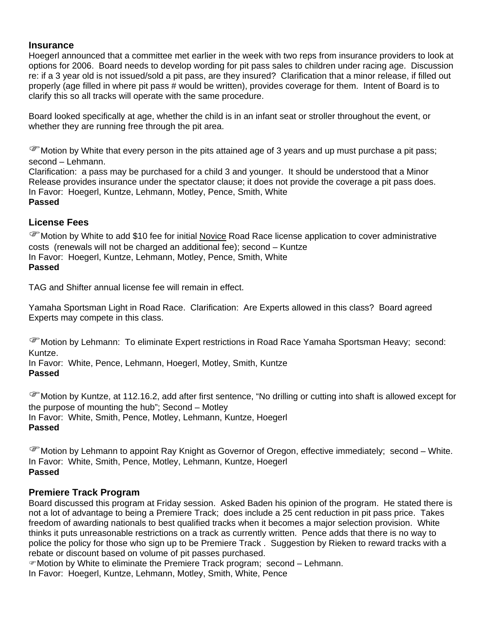## **Insurance**

Hoegerl announced that a committee met earlier in the week with two reps from insurance providers to look at options for 2006. Board needs to develop wording for pit pass sales to children under racing age. Discussion re: if a 3 year old is not issued/sold a pit pass, are they insured? Clarification that a minor release, if filled out properly (age filled in where pit pass # would be written), provides coverage for them. Intent of Board is to clarify this so all tracks will operate with the same procedure.

Board looked specifically at age, whether the child is in an infant seat or stroller throughout the event, or whether they are running free through the pit area.

 $\mathscr F$  Motion by White that every person in the pits attained age of 3 years and up must purchase a pit pass; second – Lehmann.

Clarification: a pass may be purchased for a child 3 and younger. It should be understood that a Minor Release provides insurance under the spectator clause; it does not provide the coverage a pit pass does. In Favor: Hoegerl, Kuntze, Lehmann, Motley, Pence, Smith, White **Passed** 

# **License Fees**

)Motion by White to add \$10 fee for initial Novice Road Race license application to cover administrative costs (renewals will not be charged an additional fee); second – Kuntze In Favor: Hoegerl, Kuntze, Lehmann, Motley, Pence, Smith, White **Passed** 

TAG and Shifter annual license fee will remain in effect.

Yamaha Sportsman Light in Road Race. Clarification: Are Experts allowed in this class? Board agreed Experts may compete in this class.

)Motion by Lehmann: To eliminate Expert restrictions in Road Race Yamaha Sportsman Heavy; second: Kuntze.

In Favor: White, Pence, Lehmann, Hoegerl, Motley, Smith, Kuntze **Passed**

)Motion by Kuntze, at 112.16.2, add after first sentence, "No drilling or cutting into shaft is allowed except for the purpose of mounting the hub"; Second – Motley In Favor: White, Smith, Pence, Motley, Lehmann, Kuntze, Hoegerl **Passed** 

)Motion by Lehmann to appoint Ray Knight as Governor of Oregon, effective immediately; second – White. In Favor: White, Smith, Pence, Motley, Lehmann, Kuntze, Hoegerl **Passed** 

# **Premiere Track Program**

Board discussed this program at Friday session. Asked Baden his opinion of the program. He stated there is not a lot of advantage to being a Premiere Track; does include a 25 cent reduction in pit pass price. Takes freedom of awarding nationals to best qualified tracks when it becomes a major selection provision. White thinks it puts unreasonable restrictions on a track as currently written. Pence adds that there is no way to police the policy for those who sign up to be Premiere Track . Suggestion by Rieken to reward tracks with a rebate or discount based on volume of pit passes purchased.

 $\infty$  Motion by White to eliminate the Premiere Track program; second – Lehmann.

In Favor: Hoegerl, Kuntze, Lehmann, Motley, Smith, White, Pence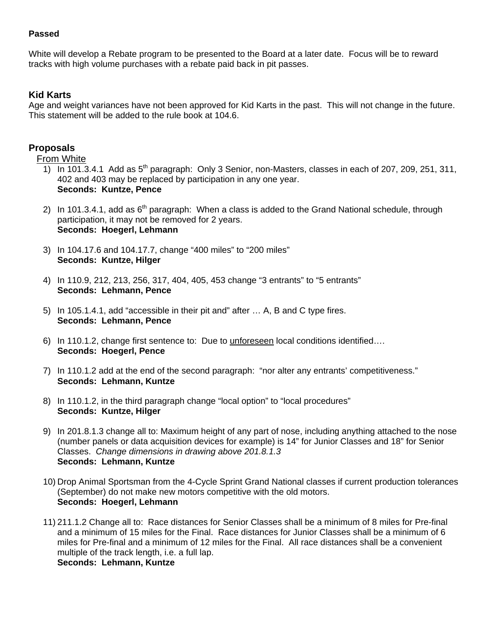## **Passed**

White will develop a Rebate program to be presented to the Board at a later date. Focus will be to reward tracks with high volume purchases with a rebate paid back in pit passes.

# **Kid Karts**

Age and weight variances have not been approved for Kid Karts in the past. This will not change in the future. This statement will be added to the rule book at 104.6.

# **Proposals**

# From White

- 1) In 101.3.4.1 Add as  $5<sup>th</sup>$  paragraph: Only 3 Senior, non-Masters, classes in each of 207, 209, 251, 311, 402 and 403 may be replaced by participation in any one year. **Seconds: Kuntze, Pence**
- 2) In 101.3.4.1, add as  $6<sup>th</sup>$  paragraph: When a class is added to the Grand National schedule, through participation, it may not be removed for 2 years. **Seconds: Hoegerl, Lehmann**
- 3) In 104.17.6 and 104.17.7, change "400 miles" to "200 miles" **Seconds: Kuntze, Hilger**
- 4) In 110.9, 212, 213, 256, 317, 404, 405, 453 change "3 entrants" to "5 entrants" **Seconds: Lehmann, Pence**
- 5) In 105.1.4.1, add "accessible in their pit and" after … A, B and C type fires. **Seconds: Lehmann, Pence**
- 6) In 110.1.2, change first sentence to: Due to unforeseen local conditions identified…. **Seconds: Hoegerl, Pence**
- 7) In 110.1.2 add at the end of the second paragraph: "nor alter any entrants' competitiveness." **Seconds: Lehmann, Kuntze**
- 8) In 110.1.2, in the third paragraph change "local option" to "local procedures" **Seconds: Kuntze, Hilger**
- 9) In 201.8.1.3 change all to: Maximum height of any part of nose, including anything attached to the nose (number panels or data acquisition devices for example) is 14" for Junior Classes and 18" for Senior Classes. *Change dimensions in drawing above 201.8.1.3* **Seconds: Lehmann, Kuntze**
- 10) Drop Animal Sportsman from the 4-Cycle Sprint Grand National classes if current production tolerances (September) do not make new motors competitive with the old motors. **Seconds: Hoegerl, Lehmann**
- 11) 211.1.2 Change all to: Race distances for Senior Classes shall be a minimum of 8 miles for Pre-final and a minimum of 15 miles for the Final. Race distances for Junior Classes shall be a minimum of 6 miles for Pre-final and a minimum of 12 miles for the Final. All race distances shall be a convenient multiple of the track length, i.e. a full lap. **Seconds: Lehmann, Kuntze**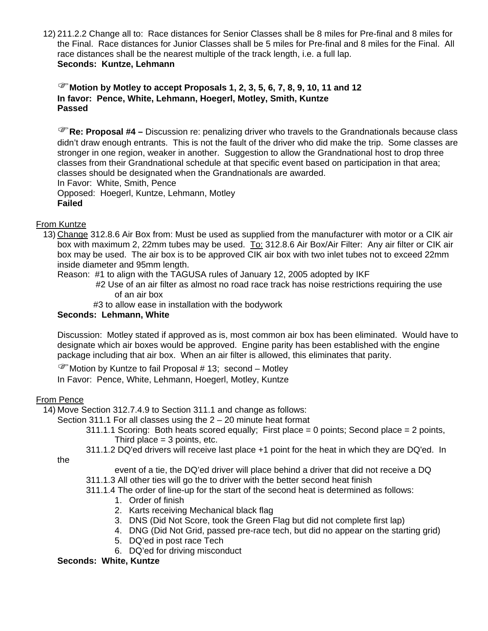12) 211.2.2 Change all to: Race distances for Senior Classes shall be 8 miles for Pre-final and 8 miles for the Final. Race distances for Junior Classes shall be 5 miles for Pre-final and 8 miles for the Final. All race distances shall be the nearest multiple of the track length, i.e. a full lap. **Seconds: Kuntze, Lehmann** 

# )**Motion by Motley to accept Proposals 1, 2, 3, 5, 6, 7, 8, 9, 10, 11 and 12 In favor: Pence, White, Lehmann, Hoegerl, Motley, Smith, Kuntze Passed**

)**Re: Proposal #4 –** Discussion re: penalizing driver who travels to the Grandnationals because class didn't draw enough entrants. This is not the fault of the driver who did make the trip. Some classes are stronger in one region, weaker in another. Suggestion to allow the Grandnational host to drop three classes from their Grandnational schedule at that specific event based on participation in that area; classes should be designated when the Grandnationals are awarded. In Favor: White, Smith, Pence Opposed: Hoegerl, Kuntze, Lehmann, Motley **Failed**

# From Kuntze

13) Change 312.8.6 Air Box from: Must be used as supplied from the manufacturer with motor or a CIK air box with maximum 2, 22mm tubes may be used. To: 312.8.6 Air Box/Air Filter: Any air filter or CIK air box may be used. The air box is to be approved CIK air box with two inlet tubes not to exceed 22mm inside diameter and 95mm length.

Reason: #1 to align with the TAGUSA rules of January 12, 2005 adopted by IKF

- #2 Use of an air filter as almost no road race track has noise restrictions requiring the use of an air box
- #3 to allow ease in installation with the bodywork

# **Seconds: Lehmann, White**

Discussion: Motley stated if approved as is, most common air box has been eliminated. Would have to designate which air boxes would be approved. Engine parity has been established with the engine package including that air box. When an air filter is allowed, this eliminates that parity.

 $\mathscr{F}$  Motion by Kuntze to fail Proposal # 13; second – Motley In Favor: Pence, White, Lehmann, Hoegerl, Motley, Kuntze

# From Pence

14) Move Section 312.7.4.9 to Section 311.1 and change as follows:

Section 311.1 For all classes using the 2 – 20 minute heat format

- 311.1.1 Scoring: Both heats scored equally; First place = 0 points; Second place = 2 points, Third place  $=$  3 points, etc.
- 311.1.2 DQ'ed drivers will receive last place +1 point for the heat in which they are DQ'ed. In

the

- event of a tie, the DQ'ed driver will place behind a driver that did not receive a DQ
- 311.1.3 All other ties will go the to driver with the better second heat finish
- 311.1.4 The order of line-up for the start of the second heat is determined as follows:
	- 1. Order of finish
	- 2. Karts receiving Mechanical black flag
	- 3. DNS (Did Not Score, took the Green Flag but did not complete first lap)
	- 4. DNG (Did Not Grid, passed pre-race tech, but did no appear on the starting grid)
	- 5. DQ'ed in post race Tech
	- 6. DQ'ed for driving misconduct

# **Seconds: White, Kuntze**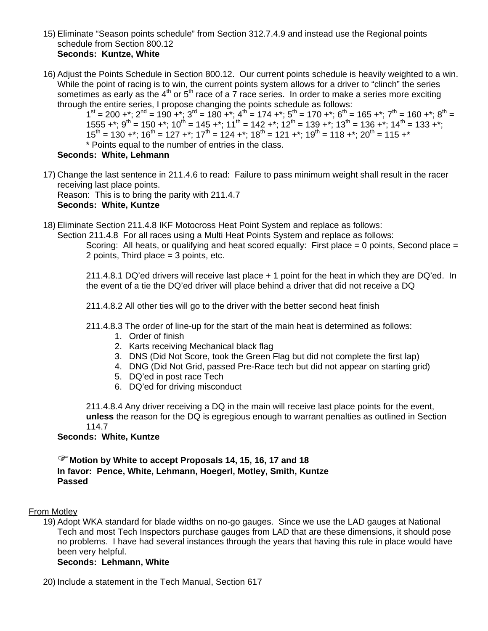- 15) Eliminate "Season points schedule" from Section 312.7.4.9 and instead use the Regional points schedule from Section 800.12 **Seconds: Kuntze, White**
- 16) Adjust the Points Schedule in Section 800.12. Our current points schedule is heavily weighted to a win. While the point of racing is to win, the current points system allows for a driver to "clinch" the series sometimes as early as the  $4<sup>th</sup>$  or  $5<sup>th</sup>$  race of a 7 race series. In order to make a series more exciting through the entire series, I propose changing the points schedule as follows:

 $1^{\text{st}} = 200 +$ \*;  $2^{\text{nd}} = 190 +$ \*;  $3^{\text{rd}} = 180 +$ \*;  $4^{\text{th}} = 174 +$ \*;  $5^{\text{th}} = 170 +$ \*;  $6^{\text{th}} = 165 +$ \*;  $7^{\text{th}} = 160 +$ \*;  $8^{\text{th}} =$ 1555 +\*;  $9^{th}$  = 150 +\*;  $10^{th}$  = 145 +\*;  $11^{th}$  = 142 +\*;  $12^{th}$  = 139 +\*;  $13^{th}$  = 136 +\*;  $14^{th}$  = 133 +\*;  $15^{th}$  = 130 +\*;  $16^{th}$  = 127 +\*;  $17^{th}$  = 124 +\*;  $18^{th}$  = 121 +\*;  $19^{th}$  = 118 +\*;  $20^{th}$  = 115 +\* \* Points equal to the number of entries in the class.

# **Seconds: White, Lehmann**

17) Change the last sentence in 211.4.6 to read: Failure to pass minimum weight shall result in the racer receiving last place points.

Reason: This is to bring the parity with 211.4.7 **Seconds: White, Kuntze** 

18) Eliminate Section 211.4.8 IKF Motocross Heat Point System and replace as follows:

Section 211.4.8 For all races using a Multi Heat Points System and replace as follows:

Scoring: All heats, or qualifying and heat scored equally: First place = 0 points, Second place = 2 points, Third place = 3 points, etc.

 211.4.8.1 DQ'ed drivers will receive last place + 1 point for the heat in which they are DQ'ed. In the event of a tie the DQ'ed driver will place behind a driver that did not receive a DQ

211.4.8.2 All other ties will go to the driver with the better second heat finish

- 211.4.8.3 The order of line-up for the start of the main heat is determined as follows:
	- 1. Order of finish
	- 2. Karts receiving Mechanical black flag
	- 3. DNS (Did Not Score, took the Green Flag but did not complete the first lap)
	- 4. DNG (Did Not Grid, passed Pre-Race tech but did not appear on starting grid)
	- 5. DQ'ed in post race Tech
	- 6. DQ'ed for driving misconduct

211.4.8.4 Any driver receiving a DQ in the main will receive last place points for the event, **unless** the reason for the DQ is egregious enough to warrant penalties as outlined in Section 114.7

### **Seconds: White, Kuntze**

)**Motion by White to accept Proposals 14, 15, 16, 17 and 18 In favor: Pence, White, Lehmann, Hoegerl, Motley, Smith, Kuntze Passed** 

#### From Motley

19) Adopt WKA standard for blade widths on no-go gauges. Since we use the LAD gauges at National Tech and most Tech Inspectors purchase gauges from LAD that are these dimensions, it should pose no problems. I have had several instances through the years that having this rule in place would have been very helpful.

### **Seconds: Lehmann, White**

20) Include a statement in the Tech Manual, Section 617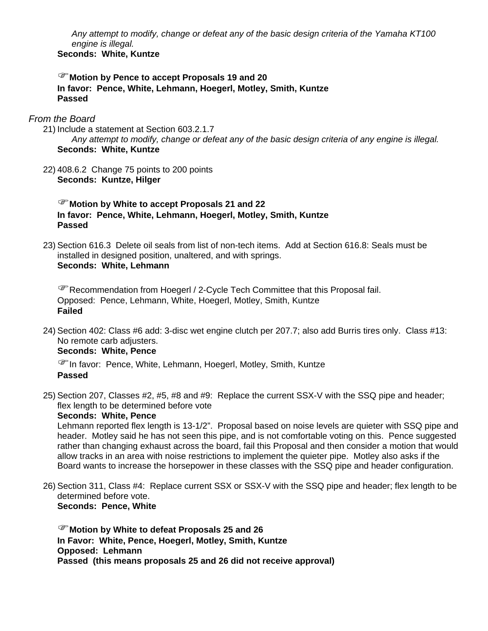*Any attempt to modify, change or defeat any of the basic design criteria of the Yamaha KT100 engine is illegal.* **Seconds: White, Kuntze** 

### )**Motion by Pence to accept Proposals 19 and 20 In favor: Pence, White, Lehmann, Hoegerl, Motley, Smith, Kuntze Passed**

### *From the Board*

- 21) Include a statement at Section 603.2.1.7 *Any attempt to modify, change or defeat any of the basic design criteria of any engine is illegal.*  **Seconds: White, Kuntze**
- 22) 408.6.2 Change 75 points to 200 points **Seconds: Kuntze, Hilger**

)**Motion by White to accept Proposals 21 and 22 In favor: Pence, White, Lehmann, Hoegerl, Motley, Smith, Kuntze Passed**

23) Section 616.3 Delete oil seals from list of non-tech items. Add at Section 616.8: Seals must be installed in designed position, unaltered, and with springs. **Seconds: White, Lehmann** 

)Recommendation from Hoegerl / 2-Cycle Tech Committee that this Proposal fail. Opposed: Pence, Lehmann, White, Hoegerl, Motley, Smith, Kuntze **Failed** 

24) Section 402: Class #6 add: 3-disc wet engine clutch per 207.7; also add Burris tires only. Class #13: No remote carb adjusters.

### **Seconds: White, Pence**

)In favor: Pence, White, Lehmann, Hoegerl, Motley, Smith, Kuntze **Passed** 

25) Section 207, Classes #2, #5, #8 and #9: Replace the current SSX-V with the SSQ pipe and header; flex length to be determined before vote

#### **Seconds: White, Pence**

Lehmann reported flex length is 13-1/2". Proposal based on noise levels are quieter with SSQ pipe and header. Motley said he has not seen this pipe, and is not comfortable voting on this. Pence suggested rather than changing exhaust across the board, fail this Proposal and then consider a motion that would allow tracks in an area with noise restrictions to implement the quieter pipe. Motley also asks if the Board wants to increase the horsepower in these classes with the SSQ pipe and header configuration.

26) Section 311, Class #4: Replace current SSX or SSX-V with the SSQ pipe and header; flex length to be determined before vote. **Seconds: Pence, White** 

)**Motion by White to defeat Proposals 25 and 26 In Favor: White, Pence, Hoegerl, Motley, Smith, Kuntze Opposed: Lehmann Passed (this means proposals 25 and 26 did not receive approval)**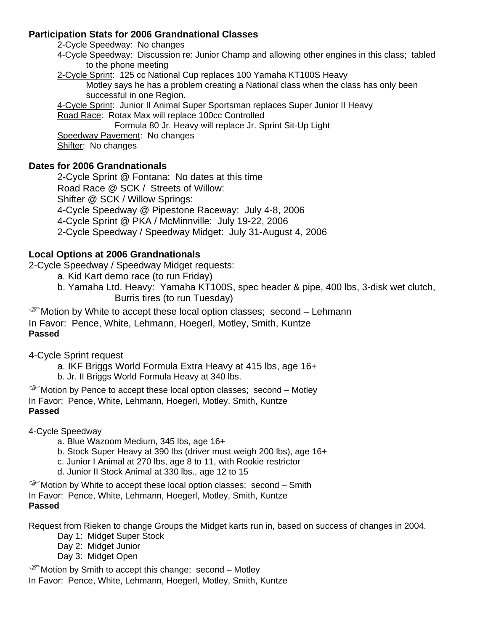# **Participation Stats for 2006 Grandnational Classes**

2-Cycle Speedway: No changes

4-Cycle Speedway: Discussion re: Junior Champ and allowing other engines in this class; tabled to the phone meeting

2-Cycle Sprint: 125 cc National Cup replaces 100 Yamaha KT100S Heavy Motley says he has a problem creating a National class when the class has only been successful in one Region.

4-Cycle Sprint: Junior II Animal Super Sportsman replaces Super Junior II Heavy

Road Race: Rotax Max will replace 100cc Controlled

Formula 80 Jr. Heavy will replace Jr. Sprint Sit-Up Light

Speedway Pavement: No changes

Shifter: No changes

# **Dates for 2006 Grandnationals**

 2-Cycle Sprint @ Fontana: No dates at this time Road Race @ SCK / Streets of Willow: Shifter @ SCK / Willow Springs: 4-Cycle Speedway @ Pipestone Raceway: July 4-8, 2006 4-Cycle Sprint @ PKA / McMinnville: July 19-22, 2006 2-Cycle Speedway / Speedway Midget: July 31-August 4, 2006

# **Local Options at 2006 Grandnationals**

2-Cycle Speedway / Speedway Midget requests:

- a. Kid Kart demo race (to run Friday)
- b. Yamaha Ltd. Heavy: Yamaha KT100S, spec header & pipe, 400 lbs, 3-disk wet clutch, Burris tires (to run Tuesday)

)Motion by White to accept these local option classes; second – Lehmann In Favor: Pence, White, Lehmann, Hoegerl, Motley, Smith, Kuntze

# **Passed**

4-Cycle Sprint request

a. IKF Briggs World Formula Extra Heavy at 415 lbs, age 16+

b. Jr. II Briggs World Formula Heavy at 340 lbs.

)Motion by Pence to accept these local option classes; second – Motley In Favor: Pence, White, Lehmann, Hoegerl, Motley, Smith, Kuntze **Passed** 

4-Cycle Speedway

- a. Blue Wazoom Medium, 345 lbs, age 16+
- b. Stock Super Heavy at 390 lbs (driver must weigh 200 lbs), age 16+
- c. Junior I Animal at 270 lbs, age 8 to 11, with Rookie restrictor
- d. Junior II Stock Animal at 330 lbs., age 12 to 15

)Motion by White to accept these local option classes; second – Smith In Favor: Pence, White, Lehmann, Hoegerl, Motley, Smith, Kuntze

# **Passed**

Request from Rieken to change Groups the Midget karts run in, based on success of changes in 2004.

- Day 1: Midget Super Stock
- Day 2: Midget Junior
- Day 3: Midget Open

 $\mathcal{F}$  Motion by Smith to accept this change; second – Motley

In Favor: Pence, White, Lehmann, Hoegerl, Motley, Smith, Kuntze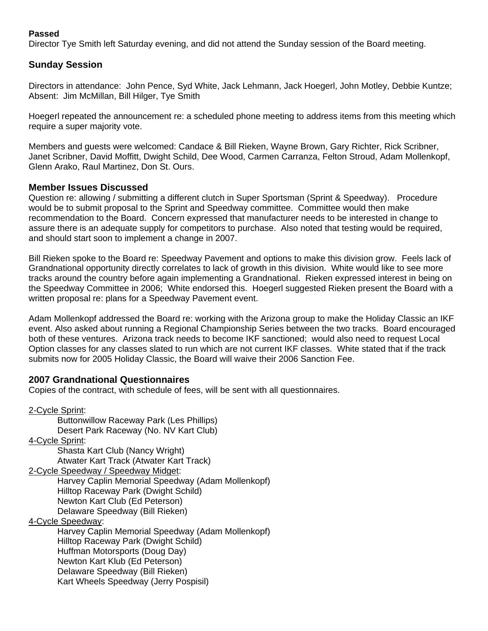# **Passed**

Director Tye Smith left Saturday evening, and did not attend the Sunday session of the Board meeting.

# **Sunday Session**

Directors in attendance: John Pence, Syd White, Jack Lehmann, Jack Hoegerl, John Motley, Debbie Kuntze; Absent: Jim McMillan, Bill Hilger, Tye Smith

Hoegerl repeated the announcement re: a scheduled phone meeting to address items from this meeting which require a super majority vote.

Members and guests were welcomed: Candace & Bill Rieken, Wayne Brown, Gary Richter, Rick Scribner, Janet Scribner, David Moffitt, Dwight Schild, Dee Wood, Carmen Carranza, Felton Stroud, Adam Mollenkopf, Glenn Arako, Raul Martinez, Don St. Ours.

# **Member Issues Discussed**

Question re: allowing / submitting a different clutch in Super Sportsman (Sprint & Speedway). Procedure would be to submit proposal to the Sprint and Speedway committee. Committee would then make recommendation to the Board. Concern expressed that manufacturer needs to be interested in change to assure there is an adequate supply for competitors to purchase. Also noted that testing would be required, and should start soon to implement a change in 2007.

Bill Rieken spoke to the Board re: Speedway Pavement and options to make this division grow. Feels lack of Grandnational opportunity directly correlates to lack of growth in this division. White would like to see more tracks around the country before again implementing a Grandnational. Rieken expressed interest in being on the Speedway Committee in 2006; White endorsed this. Hoegerl suggested Rieken present the Board with a written proposal re: plans for a Speedway Pavement event.

Adam Mollenkopf addressed the Board re: working with the Arizona group to make the Holiday Classic an IKF event. Also asked about running a Regional Championship Series between the two tracks. Board encouraged both of these ventures. Arizona track needs to become IKF sanctioned; would also need to request Local Option classes for any classes slated to run which are not current IKF classes. White stated that if the track submits now for 2005 Holiday Classic, the Board will waive their 2006 Sanction Fee.

# **2007 Grandnational Questionnaires**

Copies of the contract, with schedule of fees, will be sent with all questionnaires.

2-Cycle Sprint: Buttonwillow Raceway Park (Les Phillips) Desert Park Raceway (No. NV Kart Club) 4-Cycle Sprint: Shasta Kart Club (Nancy Wright) Atwater Kart Track (Atwater Kart Track) 2-Cycle Speedway / Speedway Midget: Harvey Caplin Memorial Speedway (Adam Mollenkopf) Hilltop Raceway Park (Dwight Schild) Newton Kart Club (Ed Peterson) Delaware Speedway (Bill Rieken) 4-Cycle Speedway: Harvey Caplin Memorial Speedway (Adam Mollenkopf) Hilltop Raceway Park (Dwight Schild) Huffman Motorsports (Doug Day) Newton Kart Klub (Ed Peterson) Delaware Speedway (Bill Rieken) Kart Wheels Speedway (Jerry Pospisil)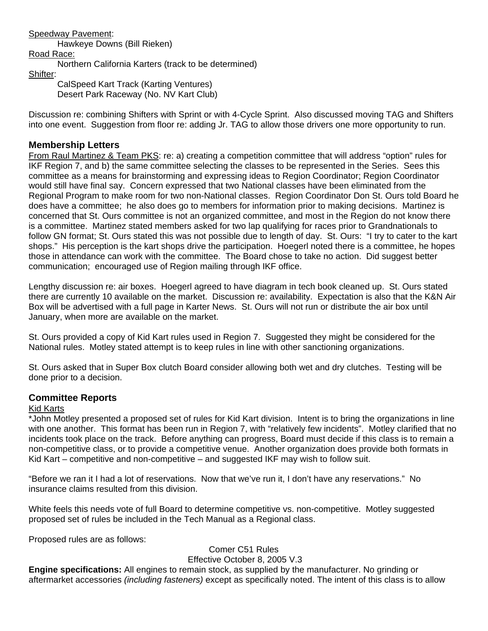### Speedway Pavement:

Hawkeye Downs (Bill Rieken)

# Road Race:

Northern California Karters (track to be determined)

#### Shifter:

 CalSpeed Kart Track (Karting Ventures) Desert Park Raceway (No. NV Kart Club)

Discussion re: combining Shifters with Sprint or with 4-Cycle Sprint. Also discussed moving TAG and Shifters into one event. Suggestion from floor re: adding Jr. TAG to allow those drivers one more opportunity to run.

# **Membership Letters**

From Raul Martinez & Team PKS: re: a) creating a competition committee that will address "option" rules for IKF Region 7, and b) the same committee selecting the classes to be represented in the Series. Sees this committee as a means for brainstorming and expressing ideas to Region Coordinator; Region Coordinator would still have final say. Concern expressed that two National classes have been eliminated from the Regional Program to make room for two non-National classes. Region Coordinator Don St. Ours told Board he does have a committee; he also does go to members for information prior to making decisions. Martinez is concerned that St. Ours committee is not an organized committee, and most in the Region do not know there is a committee. Martinez stated members asked for two lap qualifying for races prior to Grandnationals to follow GN format; St. Ours stated this was not possible due to length of day. St. Ours: "I try to cater to the kart shops." His perception is the kart shops drive the participation. Hoegerl noted there is a committee, he hopes those in attendance can work with the committee. The Board chose to take no action. Did suggest better communication; encouraged use of Region mailing through IKF office.

Lengthy discussion re: air boxes. Hoegerl agreed to have diagram in tech book cleaned up. St. Ours stated there are currently 10 available on the market. Discussion re: availability. Expectation is also that the K&N Air Box will be advertised with a full page in Karter News. St. Ours will not run or distribute the air box until January, when more are available on the market.

St. Ours provided a copy of Kid Kart rules used in Region 7. Suggested they might be considered for the National rules. Motley stated attempt is to keep rules in line with other sanctioning organizations.

St. Ours asked that in Super Box clutch Board consider allowing both wet and dry clutches. Testing will be done prior to a decision.

### **Committee Reports**

### Kid Karts

\*John Motley presented a proposed set of rules for Kid Kart division. Intent is to bring the organizations in line with one another. This format has been run in Region 7, with "relatively few incidents". Motley clarified that no incidents took place on the track. Before anything can progress, Board must decide if this class is to remain a non-competitive class, or to provide a competitive venue. Another organization does provide both formats in Kid Kart – competitive and non-competitive – and suggested IKF may wish to follow suit.

"Before we ran it I had a lot of reservations. Now that we've run it, I don't have any reservations." No insurance claims resulted from this division.

White feels this needs vote of full Board to determine competitive vs. non-competitive. Motley suggested proposed set of rules be included in the Tech Manual as a Regional class.

Proposed rules are as follows:

Comer C51 Rules Effective October 8, 2005 V.3

**Engine specifications:** All engines to remain stock, as supplied by the manufacturer. No grinding or aftermarket accessories *(including fasteners)* except as specifically noted. The intent of this class is to allow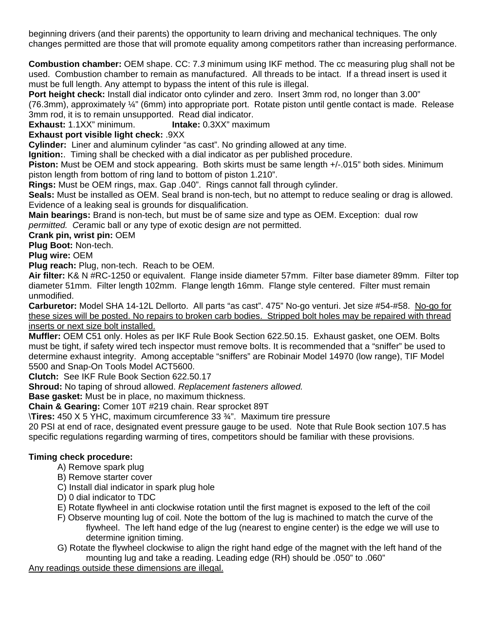beginning drivers (and their parents) the opportunity to learn driving and mechanical techniques. The only changes permitted are those that will promote equality among competitors rather than increasing performance.

**Combustion chamber:** OEM shape. CC: 7.*3* minimum using IKF method. The cc measuring plug shall not be used. Combustion chamber to remain as manufactured. All threads to be intact. If a thread insert is used it must be full length. Any attempt to bypass the intent of this rule is illegal.

**Port height check:** Install dial indicator onto cylinder and zero. Insert 3mm rod, no longer than 3.00"

(76.3mm), approximately ¼" (6mm) into appropriate port. Rotate piston until gentle contact is made. Release 3mm rod, it is to remain unsupported. Read dial indicator.

**Exhaust:** 1.1XX" minimum. **Intake:** 0.3XX" maximum

**Exhaust port visible light check:** .9XX

**Cylinder:** Liner and aluminum cylinder "as cast". No grinding allowed at any time.

**Ignition:**. Timing shall be checked with a dial indicator as per published procedure.

**Piston:** Must be OEM and stock appearing. Both skirts must be same length +/-.015" both sides. Minimum piston length from bottom of ring land to bottom of piston 1.210".

**Rings:** Must be OEM rings, max. Gap .040". Rings cannot fall through cylinder.

**Seals:** Must be installed as OEM. Seal brand is non-tech, but no attempt to reduce sealing or drag is allowed. Evidence of a leaking seal is grounds for disqualification.

**Main bearings:** Brand is non-tech, but must be of same size and type as OEM. Exception: dual row *permitted. C*eramic ball or any type of exotic design *are* not permitted.

**Crank pin, wrist pin:** OEM

**Plug Boot:** Non-tech.

**Plug wire:** OEM

**Plug reach:** Plug, non-tech. Reach to be OEM.

**Air filter:** K& N #RC-1250 or equivalent. Flange inside diameter 57mm. Filter base diameter 89mm. Filter top diameter 51mm. Filter length 102mm. Flange length 16mm. Flange style centered. Filter must remain unmodified.

**Carburetor:** Model SHA 14-12L Dellorto. All parts "as cast". 475" No-go venturi. Jet size #54-#58. No-go for these sizes will be posted. No repairs to broken carb bodies. Stripped bolt holes may be repaired with thread inserts or next size bolt installed.

**Muffler:** OEM C51 only. Holes as per IKF Rule Book Section 622.50.15. Exhaust gasket, one OEM. Bolts must be tight, if safety wired tech inspector must remove bolts. It is recommended that a "sniffer" be used to determine exhaust integrity. Among acceptable "sniffers" are Robinair Model 14970 (low range), TIF Model 5500 and Snap-On Tools Model ACT5600.

**Clutch:** See IKF Rule Book Section 622.50.17

**Shroud:** No taping of shroud allowed. *Replacement fasteners allowed.* 

**Base gasket:** Must be in place, no maximum thickness.

**Chain & Gearing:** Comer 10T #219 chain. Rear sprocket 89T

\**Tires:** 450 X 5 YHC, maximum circumference 33 ¾". Maximum tire pressure

20 PSI at end of race, designated event pressure gauge to be used. Note that Rule Book section 107.5 has specific regulations regarding warming of tires, competitors should be familiar with these provisions.

# **Timing check procedure:**

- A) Remove spark plug
- B) Remove starter cover
- C) Install dial indicator in spark plug hole
- D) 0 dial indicator to TDC
- E) Rotate flywheel in anti clockwise rotation until the first magnet is exposed to the left of the coil
- F) Observe mounting lug of coil. Note the bottom of the lug is machined to match the curve of the flywheel. The left hand edge of the lug (nearest to engine center) is the edge we will use to determine ignition timing.
- G) Rotate the flywheel clockwise to align the right hand edge of the magnet with the left hand of the mounting lug and take a reading. Leading edge (RH) should be .050" to .060"

Any readings outside these dimensions are illegal.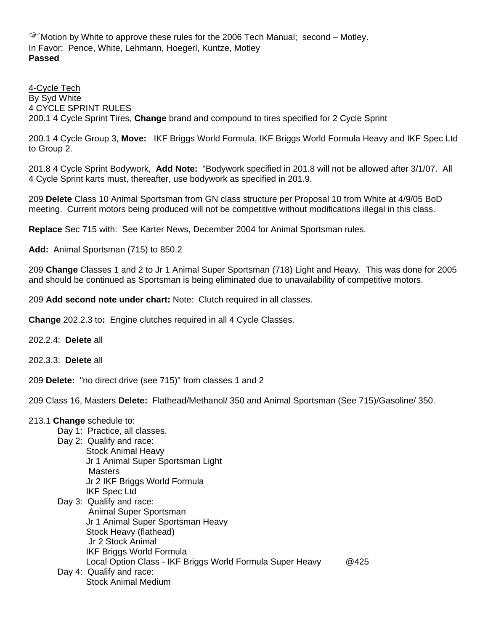)Motion by White to approve these rules for the 2006 Tech Manual; second – Motley. In Favor: Pence, White, Lehmann, Hoegerl, Kuntze, Motley **Passed** 

4-Cycle Tech By Syd White 4 CYCLE SPRINT RULES 200.1 4 Cycle Sprint Tires, **Change** brand and compound to tires specified for 2 Cycle Sprint

200.1 4 Cycle Group 3, **Move:** IKF Briggs World Formula, IKF Briggs World Formula Heavy and IKF Spec Ltd to Group 2.

201.8 4 Cycle Sprint Bodywork, **Add Note:** "Bodywork specified in 201.8 will not be allowed after 3/1/07. All 4 Cycle Sprint karts must, thereafter, use bodywork as specified in 201.9.

209 **Delete** Class 10 Animal Sportsman from GN class structure per Proposal 10 from White at 4/9/05 BoD meeting. Current motors being produced will not be competitive without modifications illegal in this class.

**Replace** Sec 715 with: See Karter News, December 2004 for Animal Sportsman rules.

**Add:** Animal Sportsman (715) to 850.2

209 **Change** Classes 1 and 2 to Jr 1 Animal Super Sportsman (718) Light and Heavy. This was done for 2005 and should be continued as Sportsman is being eliminated due to unavailability of competitive motors.

209 **Add second note under chart:** Note: Clutch required in all classes.

**Change** 202.2.3 to**:** Engine clutches required in all 4 Cycle Classes.

202.2.4: **Delete** all

202.3.3: **Delete** all

209 **Delete:** "no direct drive (see 715)" from classes 1 and 2

209 Class 16, Masters **Delete:** Flathead/Methanol/ 350 and Animal Sportsman (See 715)/Gasoline/ 350.

#### 213.1 **Change** schedule to:

- Day 1: Practice, all classes.
- Day 2: Qualify and race: Stock Animal Heavy Jr 1 Animal Super Sportsman Light **Masters**  Jr 2 IKF Briggs World Formula IKF Spec Ltd
- Day 3: Qualify and race: Animal Super Sportsman Jr 1 Animal Super Sportsman Heavy Stock Heavy (flathead) Jr 2 Stock Animal IKF Briggs World Formula Local Option Class - IKF Briggs World Formula Super Heavy @425
- Day 4: Qualify and race: Stock Animal Medium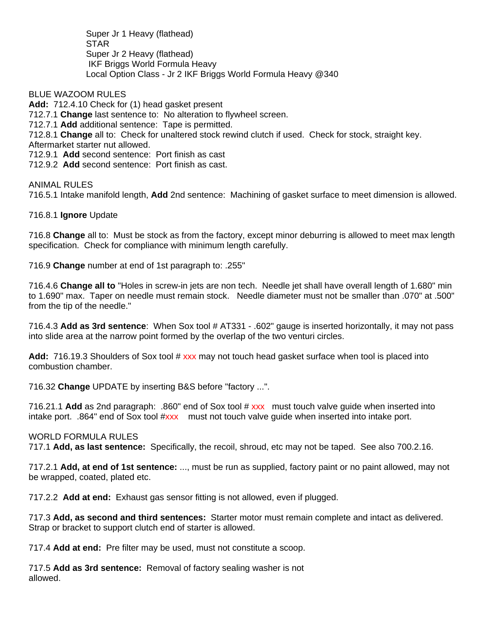Super Jr 1 Heavy (flathead) **STAR**  Super Jr 2 Heavy (flathead) IKF Briggs World Formula Heavy Local Option Class - Jr 2 IKF Briggs World Formula Heavy @340

BLUE WAZOOM RULES **Add:** 712.4.10 Check for (1) head gasket present 712.7.1 **Change** last sentence to: No alteration to flywheel screen. 712.7.1 **Add** additional sentence: Tape is permitted. 712.8.1 **Change** all to: Check for unaltered stock rewind clutch if used. Check for stock, straight key. Aftermarket starter nut allowed. 712.9.1 **Add** second sentence: Port finish as cast 712.9.2 **Add** second sentence: Port finish as cast.

ANIMAL RULES 716.5.1 Intake manifold length, **Add** 2nd sentence: Machining of gasket surface to meet dimension is allowed.

716.8.1 **Ignore** Update

716.8 **Change** all to: Must be stock as from the factory, except minor deburring is allowed to meet max length specification. Check for compliance with minimum length carefully.

716.9 **Change** number at end of 1st paragraph to: .255"

716.4.6 **Change all to** "Holes in screw-in jets are non tech. Needle jet shall have overall length of 1.680" min to 1.690" max. Taper on needle must remain stock. Needle diameter must not be smaller than .070" at .500" from the tip of the needle."

716.4.3 **Add as 3rd sentence**: When Sox tool # AT331 - .602" gauge is inserted horizontally, it may not pass into slide area at the narrow point formed by the overlap of the two venturi circles.

**Add:** 716.19.3 Shoulders of Sox tool # xxx may not touch head gasket surface when tool is placed into combustion chamber.

716.32 **Change** UPDATE by inserting B&S before "factory ...".

716.21.1 **Add** as 2nd paragraph: .860" end of Sox tool # xxx must touch valve guide when inserted into intake port. .864" end of Sox tool #xxx must not touch valve guide when inserted into intake port.

#### WORLD FORMULA RULES

717.1 **Add, as last sentence:** Specifically, the recoil, shroud, etc may not be taped. See also 700.2.16.

717.2.1 **Add, at end of 1st sentence:** ..., must be run as supplied, factory paint or no paint allowed, may not be wrapped, coated, plated etc.

717.2.2 **Add at end:** Exhaust gas sensor fitting is not allowed, even if plugged.

717.3 **Add, as second and third sentences:** Starter motor must remain complete and intact as delivered. Strap or bracket to support clutch end of starter is allowed.

717.4 **Add at end:** Pre filter may be used, must not constitute a scoop.

717.5 **Add as 3rd sentence:** Removal of factory sealing washer is not allowed.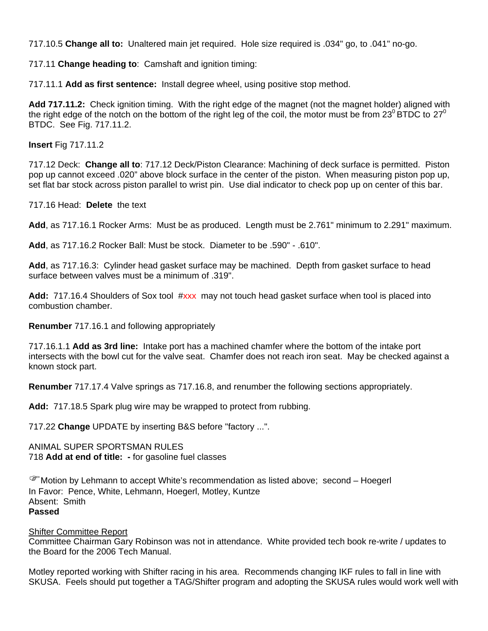717.10.5 **Change all to:** Unaltered main jet required.Hole size required is .034" go, to .041" no-go.

717.11 **Change heading to**: Camshaft and ignition timing:

717.11.1 **Add as first sentence:** Install degree wheel, using positive stop method.

**Add 717.11.2:** Check ignition timing. With the right edge of the magnet (not the magnet holder) aligned with the right edge of the notch on the bottom of the right leg of the coil, the motor must be from  $23^{\circ}$  BTDC to  $27^{\circ}$ BTDC. See Fig. 717.11.2.

**Insert** Fig 717.11.2

717.12 Deck: **Change all to**: 717.12 Deck/Piston Clearance: Machining of deck surface is permitted. Piston pop up cannot exceed .020" above block surface in the center of the piston. When measuring piston pop up, set flat bar stock across piston parallel to wrist pin. Use dial indicator to check pop up on center of this bar.

717.16 Head: **Delete** the text

**Add**, as 717.16.1 Rocker Arms: Must be as produced. Length must be 2.761" minimum to 2.291" maximum.

**Add**, as 717.16.2 Rocker Ball: Must be stock. Diameter to be .590" - .610".

**Add**, as 717.16.3: Cylinder head gasket surface may be machined. Depth from gasket surface to head surface between valves must be a minimum of .319".

**Add:** 717.16.4 Shoulders of Sox tool #xxx may not touch head gasket surface when tool is placed into combustion chamber.

**Renumber** 717.16.1 and following appropriately

717.16.1.1 **Add as 3rd line:** Intake port has a machined chamfer where the bottom of the intake port intersects with the bowl cut for the valve seat. Chamfer does not reach iron seat. May be checked against a known stock part.

**Renumber** 717.17.4 Valve springs as 717.16.8, and renumber the following sections appropriately.

**Add:** 717.18.5 Spark plug wire may be wrapped to protect from rubbing.

717.22 **Change** UPDATE by inserting B&S before "factory ...".

ANIMAL SUPER SPORTSMAN RULES 718 **Add at end of title: -** for gasoline fuel classes

)Motion by Lehmann to accept White's recommendation as listed above; second – Hoegerl In Favor: Pence, White, Lehmann, Hoegerl, Motley, Kuntze Absent: Smith **Passed** 

#### Shifter Committee Report

Committee Chairman Gary Robinson was not in attendance. White provided tech book re-write / updates to the Board for the 2006 Tech Manual.

Motley reported working with Shifter racing in his area. Recommends changing IKF rules to fall in line with SKUSA. Feels should put together a TAG/Shifter program and adopting the SKUSA rules would work well with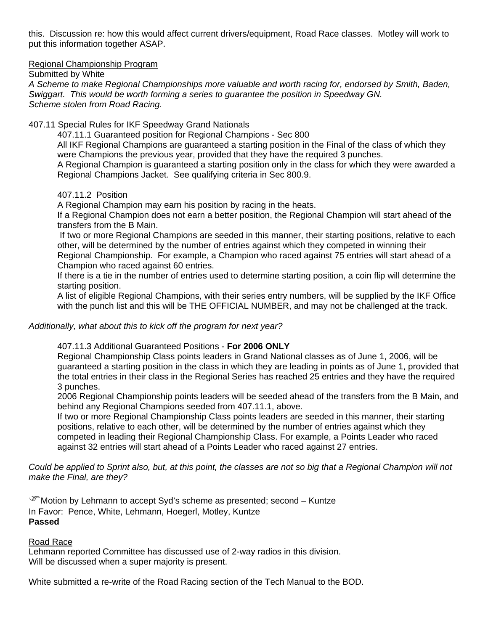this. Discussion re: how this would affect current drivers/equipment, Road Race classes. Motley will work to put this information together ASAP.

#### Regional Championship Program

Submitted by White

*A Scheme to make Regional Championships more valuable and worth racing for, endorsed by Smith, Baden, Swiggart. This would be worth forming a series to guarantee the position in Speedway GN. Scheme stolen from Road Racing.* 

#### 407.11 Special Rules for IKF Speedway Grand Nationals

407.11.1 Guaranteed position for Regional Champions - Sec 800

All IKF Regional Champions are guaranteed a starting position in the Final of the class of which they were Champions the previous year, provided that they have the required 3 punches.

A Regional Champion is guaranteed a starting position only in the class for which they were awarded a Regional Champions Jacket. See qualifying criteria in Sec 800.9.

407.11.2 Position

A Regional Champion may earn his position by racing in the heats.

If a Regional Champion does not earn a better position, the Regional Champion will start ahead of the transfers from the B Main.

 If two or more Regional Champions are seeded in this manner, their starting positions, relative to each other, will be determined by the number of entries against which they competed in winning their

Regional Championship. For example, a Champion who raced against 75 entries will start ahead of a Champion who raced against 60 entries.

If there is a tie in the number of entries used to determine starting position, a coin flip will determine the starting position.

A list of eligible Regional Champions, with their series entry numbers, will be supplied by the IKF Office with the punch list and this will be THE OFFICIAL NUMBER, and may not be challenged at the track.

### *Additionally, what about this to kick off the program for next year?*

407.11.3 Additional Guaranteed Positions - **For 2006 ONLY**

Regional Championship Class points leaders in Grand National classes as of June 1, 2006, will be guaranteed a starting position in the class in which they are leading in points as of June 1, provided that the total entries in their class in the Regional Series has reached 25 entries and they have the required 3 punches.

2006 Regional Championship points leaders will be seeded ahead of the transfers from the B Main, and behind any Regional Champions seeded from 407.11.1, above.

If two or more Regional Championship Class points leaders are seeded in this manner, their starting positions, relative to each other, will be determined by the number of entries against which they competed in leading their Regional Championship Class. For example, a Points Leader who raced against 32 entries will start ahead of a Points Leader who raced against 27 entries.

*Could be applied to Sprint also, but, at this point, the classes are not so big that a Regional Champion will not make the Final, are they?* 

)Motion by Lehmann to accept Syd's scheme as presented; second – Kuntze In Favor: Pence, White, Lehmann, Hoegerl, Motley, Kuntze **Passed**

### Road Race

Lehmann reported Committee has discussed use of 2-way radios in this division. Will be discussed when a super majority is present.

White submitted a re-write of the Road Racing section of the Tech Manual to the BOD.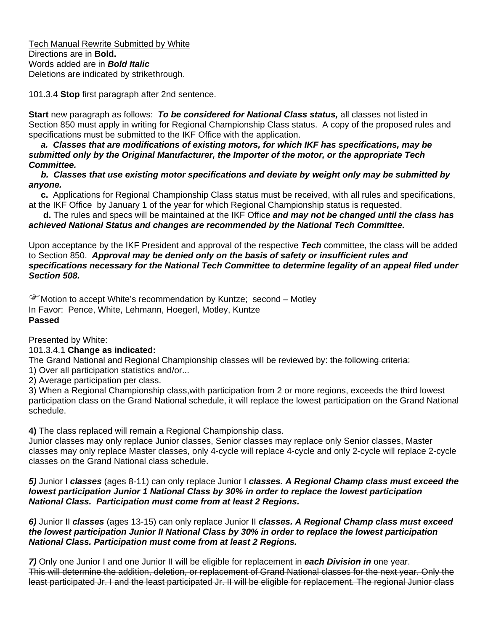Tech Manual Rewrite Submitted by White Directions are in **Bold.** Words added are in *Bold Italic* Deletions are indicated by strikethrough.

101.3.4 **Stop** first paragraph after 2nd sentence.

**Start** new paragraph as follows: *To be considered for National Class status,* all classes not listed in Section 850 must apply in writing for Regional Championship Class status. A copy of the proposed rules and specifications must be submitted to the IKF Office with the application.

 *a. Classes that are modifications of existing motors, for which IKF has specifications, may be submitted only by the Original Manufacturer, the Importer of the motor, or the appropriate Tech Committee.* 

 *b. Classes that use existing motor specifications and deviate by weight only may be submitted by anyone.*

 **c.** Applications for Regional Championship Class status must be received, with all rules and specifications, at the IKF Office by January 1 of the year for which Regional Championship status is requested.

 **d.** The rules and specs will be maintained at the IKF Office *and may not be changed until the class has achieved National Status and changes are recommended by the National Tech Committee.* 

Upon acceptance by the IKF President and approval of the respective *Tech* committee, the class will be added to Section 850. *Approval may be denied only on the basis of safety or insufficient rules and specifications necessary for the National Tech Committee to determine legality of an appeal filed under Section 508.*

)Motion to accept White's recommendation by Kuntze; second – Motley In Favor: Pence, White, Lehmann, Hoegerl, Motley, Kuntze **Passed** 

Presented by White:

### 101.3.4.1 **Change as indicated:**

The Grand National and Regional Championship classes will be reviewed by: the following criteria:

1) Over all participation statistics and/or...

2) Average participation per class.

3) When a Regional Championship class,with participation from 2 or more regions, exceeds the third lowest participation class on the Grand National schedule, it will replace the lowest participation on the Grand National schedule.

**4)** The class replaced will remain a Regional Championship class.

Junior classes may only replace Junior classes, Senior classes may replace only Senior classes, Master classes may only replace Master classes, only 4-cycle will replace 4-cycle and only 2-cycle will replace 2-cycle classes on the Grand National class schedule.

*5)* Junior I *classes* (ages 8-11) can only replace Junior I *classes. A Regional Champ class must exceed the lowest participation Junior 1 National Class by 30% in order to replace the lowest participation National Class. Participation must come from at least 2 Regions.* 

*6)* Junior II *classes* (ages 13-15) can only replace Junior II *classes. A Regional Champ class must exceed the lowest participation Junior II National Class by 30% in order to replace the lowest participation National Class. Participation must come from at least 2 Regions.* 

*7)* Only one Junior I and one Junior II will be eligible for replacement in *each Division in* one year. This will determine the addition, deletion, or replacement of Grand National classes for the next year. Only the least participated Jr. I and the least participated Jr. II will be eligible for replacement. The regional Junior class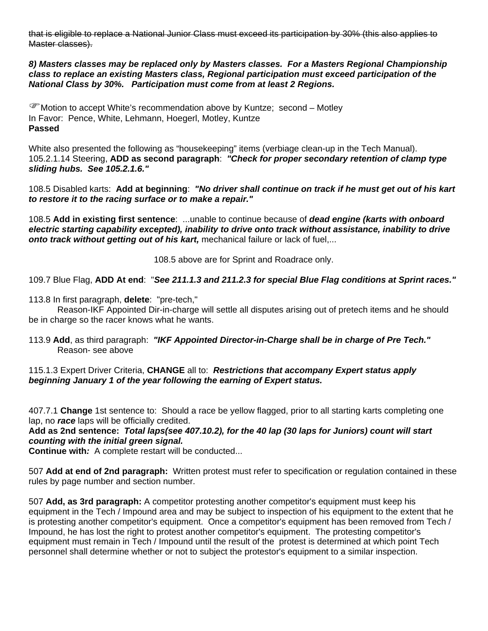that is eligible to replace a National Junior Class must exceed its participation by 30% (this also applies to Master classes).

*8) Masters classes may be replaced only by Masters classes. For a Masters Regional Championship class to replace an existing Masters class, Regional participation must exceed participation of the National Class by 30%. Participation must come from at least 2 Regions.* 

)Motion to accept White's recommendation above by Kuntze; second – Motley In Favor: Pence, White, Lehmann, Hoegerl, Motley, Kuntze **Passed** 

White also presented the following as "housekeeping" items (verbiage clean-up in the Tech Manual). 105.2.1.14 Steering, **ADD as second paragraph**: *"Check for proper secondary retention of clamp type sliding hubs. See 105.2.1.6."*

108.5 Disabled karts: **Add at beginning**: *"No driver shall continue on track if he must get out of his kart to restore it to the racing surface or to make a repair."* 

108.5 **Add in existing first sentence**: ...unable to continue because of *dead engine (karts with onboard electric starting capability excepted), inability to drive onto track without assistance, inability to drive onto track without getting out of his kart,* mechanical failure or lack of fuel,...

108.5 above are for Sprint and Roadrace only.

109.7 Blue Flag, **ADD At end**: "*See 211.1.3 and 211.2.3 for special Blue Flag conditions at Sprint races."*

113.8 In first paragraph, **delete**: "pre-tech,"

 Reason-IKF Appointed Dir-in-charge will settle all disputes arising out of pretech items and he should be in charge so the racer knows what he wants.

113.9 **Add**, as third paragraph: *"IKF Appointed Director-in-Charge shall be in charge of Pre Tech."*  Reason- see above

115.1.3 Expert Driver Criteria, **CHANGE** all to: *Restrictions that accompany Expert status apply beginning January 1 of the year following the earning of Expert status.* 

407.7.1 **Change** 1st sentence to: Should a race be yellow flagged, prior to all starting karts completing one lap, no *race* laps will be officially credited.

**Add as 2nd sentence:** *Total laps(see 407.10.2), for the 40 lap (30 laps for Juniors) count will start counting with the initial green signal.* 

**Continue with***:* A complete restart will be conducted...

507 **Add at end of 2nd paragraph:** Written protest must refer to specification or regulation contained in these rules by page number and section number.

507 **Add, as 3rd paragraph:** A competitor protesting another competitor's equipment must keep his equipment in the Tech / Impound area and may be subject to inspection of his equipment to the extent that he is protesting another competitor's equipment. Once a competitor's equipment has been removed from Tech / Impound, he has lost the right to protest another competitor's equipment. The protesting competitor's equipment must remain in Tech / Impound until the result of the protest is determined at which point Tech personnel shall determine whether or not to subject the protestor's equipment to a similar inspection.